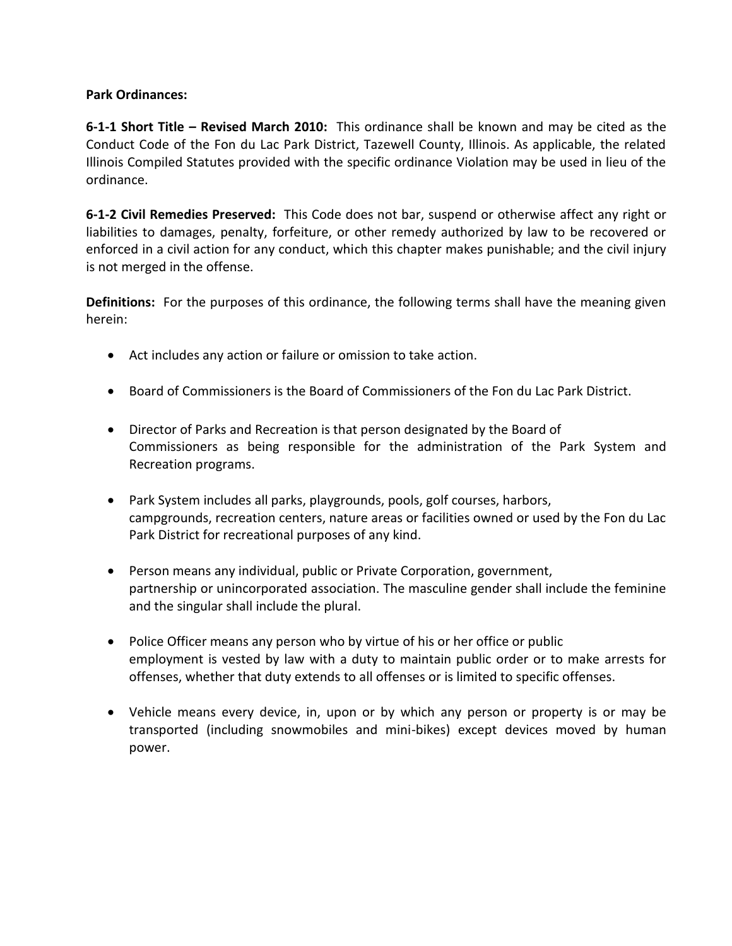#### **Park Ordinances:**

**6-1-1 Short Title – Revised March 2010:** This ordinance shall be known and may be cited as the Conduct Code of the Fon du Lac Park District, Tazewell County, Illinois. As applicable, the related Illinois Compiled Statutes provided with the specific ordinance Violation may be used in lieu of the ordinance.

**6-1-2 Civil Remedies Preserved:** This Code does not bar, suspend or otherwise affect any right or liabilities to damages, penalty, forfeiture, or other remedy authorized by law to be recovered or enforced in a civil action for any conduct, which this chapter makes punishable; and the civil injury is not merged in the offense.

**Definitions:** For the purposes of this ordinance, the following terms shall have the meaning given herein:

- Act includes any action or failure or omission to take action.
- Board of Commissioners is the Board of Commissioners of the Fon du Lac Park District.
- Director of Parks and Recreation is that person designated by the Board of Commissioners as being responsible for the administration of the Park System and Recreation programs.
- Park System includes all parks, playgrounds, pools, golf courses, harbors, campgrounds, recreation centers, nature areas or facilities owned or used by the Fon du Lac Park District for recreational purposes of any kind.
- Person means any individual, public or Private Corporation, government, partnership or unincorporated association. The masculine gender shall include the feminine and the singular shall include the plural.
- Police Officer means any person who by virtue of his or her office or public employment is vested by law with a duty to maintain public order or to make arrests for offenses, whether that duty extends to all offenses or is limited to specific offenses.
- Vehicle means every device, in, upon or by which any person or property is or may be transported (including snowmobiles and mini-bikes) except devices moved by human power.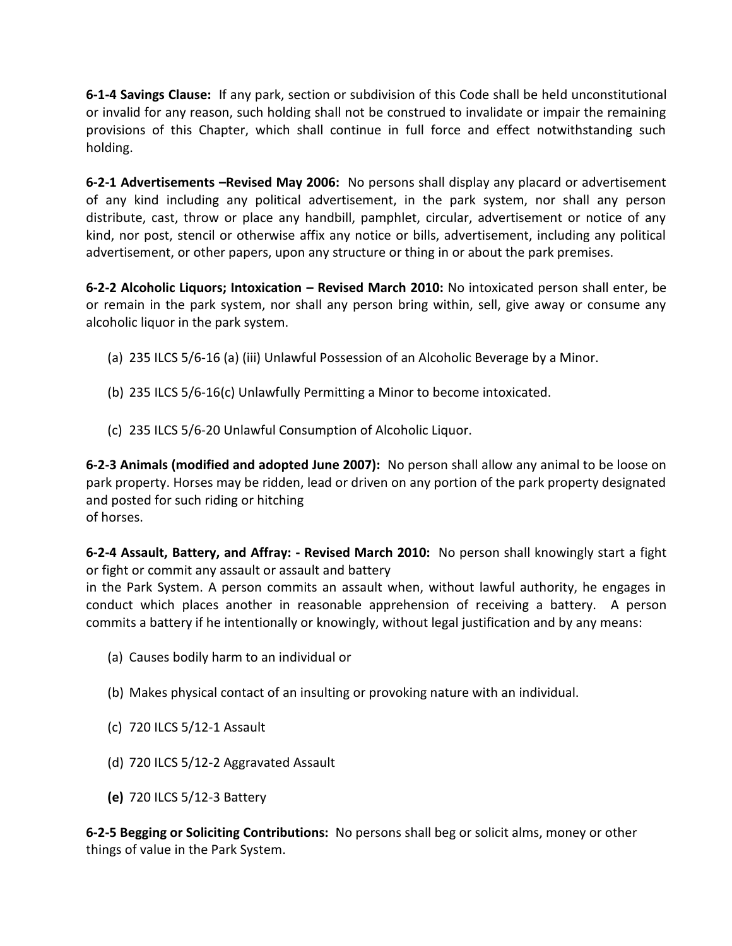**6-1-4 Savings Clause:** If any park, section or subdivision of this Code shall be held unconstitutional or invalid for any reason, such holding shall not be construed to invalidate or impair the remaining provisions of this Chapter, which shall continue in full force and effect notwithstanding such holding.

**6-2-1 Advertisements –Revised May 2006:** No persons shall display any placard or advertisement of any kind including any political advertisement, in the park system, nor shall any person distribute, cast, throw or place any handbill, pamphlet, circular, advertisement or notice of any kind, nor post, stencil or otherwise affix any notice or bills, advertisement, including any political advertisement, or other papers, upon any structure or thing in or about the park premises.

**6-2-2 Alcoholic Liquors; Intoxication – Revised March 2010:** No intoxicated person shall enter, be or remain in the park system, nor shall any person bring within, sell, give away or consume any alcoholic liquor in the park system.

- (a) 235 ILCS 5/6-16 (a) (iii) Unlawful Possession of an Alcoholic Beverage by a Minor.
- (b) 235 ILCS 5/6-16(c) Unlawfully Permitting a Minor to become intoxicated.
- (c) 235 ILCS 5/6-20 Unlawful Consumption of Alcoholic Liquor.

**6-2-3 Animals (modified and adopted June 2007):** No person shall allow any animal to be loose on park property. Horses may be ridden, lead or driven on any portion of the park property designated and posted for such riding or hitching of horses.

**6-2-4 Assault, Battery, and Affray: - Revised March 2010:** No person shall knowingly start a fight or fight or commit any assault or assault and battery

in the Park System. A person commits an assault when, without lawful authority, he engages in conduct which places another in reasonable apprehension of receiving a battery. A person commits a battery if he intentionally or knowingly, without legal justification and by any means:

- (a) Causes bodily harm to an individual or
- (b) Makes physical contact of an insulting or provoking nature with an individual.
- (c) 720 ILCS 5/12-1 Assault
- (d) 720 ILCS 5/12-2 Aggravated Assault
- **(e)** 720 ILCS 5/12-3 Battery

**6-2-5 Begging or Soliciting Contributions:** No persons shall beg or solicit alms, money or other things of value in the Park System.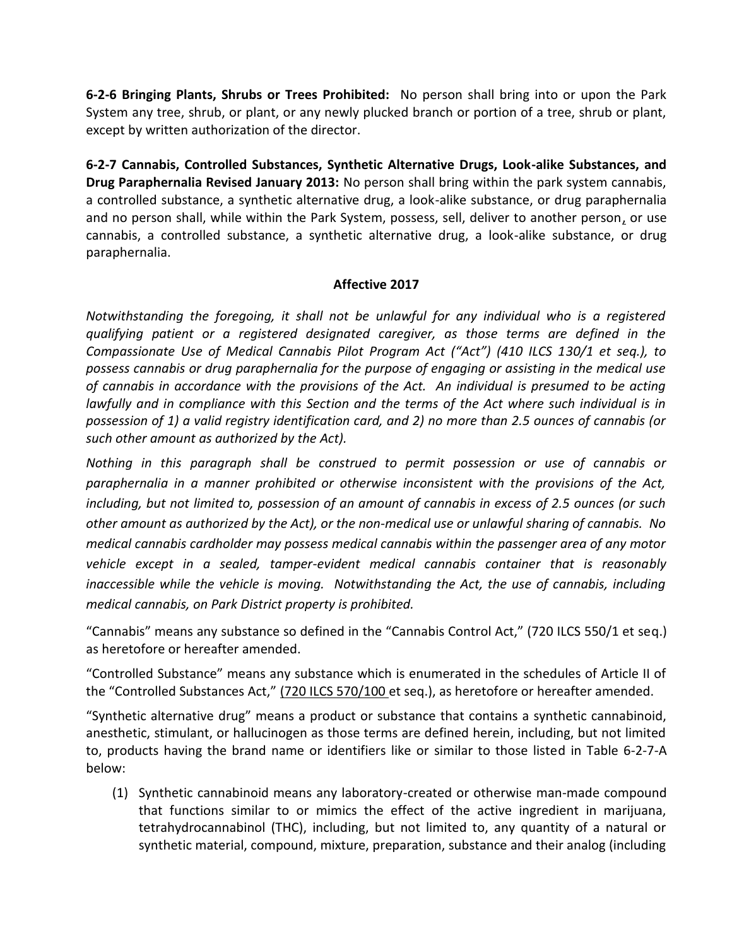**6-2-6 Bringing Plants, Shrubs or Trees Prohibited:** No person shall bring into or upon the Park System any tree, shrub, or plant, or any newly plucked branch or portion of a tree, shrub or plant, except by written authorization of the director.

**6-2-7 Cannabis, Controlled Substances, Synthetic Alternative Drugs, Look-alike Substances, and Drug Paraphernalia Revised January 2013:** No person shall bring within the park system cannabis, a controlled substance, a synthetic alternative drug, a look-alike substance, or drug paraphernalia and no person shall, while within the Park System, possess, sell, deliver to another person, or use cannabis, a controlled substance, a synthetic alternative drug, a look-alike substance, or drug paraphernalia.

## **Affective 2017**

*Notwithstanding the foregoing, it shall not be unlawful for any individual who is a registered qualifying patient or a registered designated caregiver, as those terms are defined in the Compassionate Use of Medical Cannabis Pilot Program Act ("Act") (410 ILCS 130/1 et seq.), to possess cannabis or drug paraphernalia for the purpose of engaging or assisting in the medical use of cannabis in accordance with the provisions of the Act. An individual is presumed to be acting lawfully and in compliance with this Section and the terms of the Act where such individual is in possession of 1) a valid registry identification card, and 2) no more than 2.5 ounces of cannabis (or such other amount as authorized by the Act).*

*Nothing in this paragraph shall be construed to permit possession or use of cannabis or paraphernalia in a manner prohibited or otherwise inconsistent with the provisions of the Act, including, but not limited to, possession of an amount of cannabis in excess of 2.5 ounces (or such other amount as authorized by the Act), or the non-medical use or unlawful sharing of cannabis. No medical cannabis cardholder may possess medical cannabis within the passenger area of any motor vehicle except in a sealed, tamper-evident medical cannabis container that is reasonably inaccessible while the vehicle is moving. Notwithstanding the Act, the use of cannabis, including medical cannabis, on Park District property is prohibited.*

"Cannabis" means any substance so defined in the "Cannabis Control Act," (720 ILCS 550/1 et seq.) as heretofore or hereafter amended.

"Controlled Substance" means any substance which is enumerated in the schedules of Article II of the "Controlled Substances Act," (720 ILCS 570/100 et seq.), as heretofore or hereafter amended.

"Synthetic alternative drug" means a product or substance that contains a synthetic cannabinoid, anesthetic, stimulant, or hallucinogen as those terms are defined herein, including, but not limited to, products having the brand name or identifiers like or similar to those listed in Table 6-2-7-A below:

(1) Synthetic cannabinoid means any laboratory-created or otherwise man-made compound that functions similar to or mimics the effect of the active ingredient in marijuana, tetrahydrocannabinol (THC), including, but not limited to, any quantity of a natural or synthetic material, compound, mixture, preparation, substance and their analog (including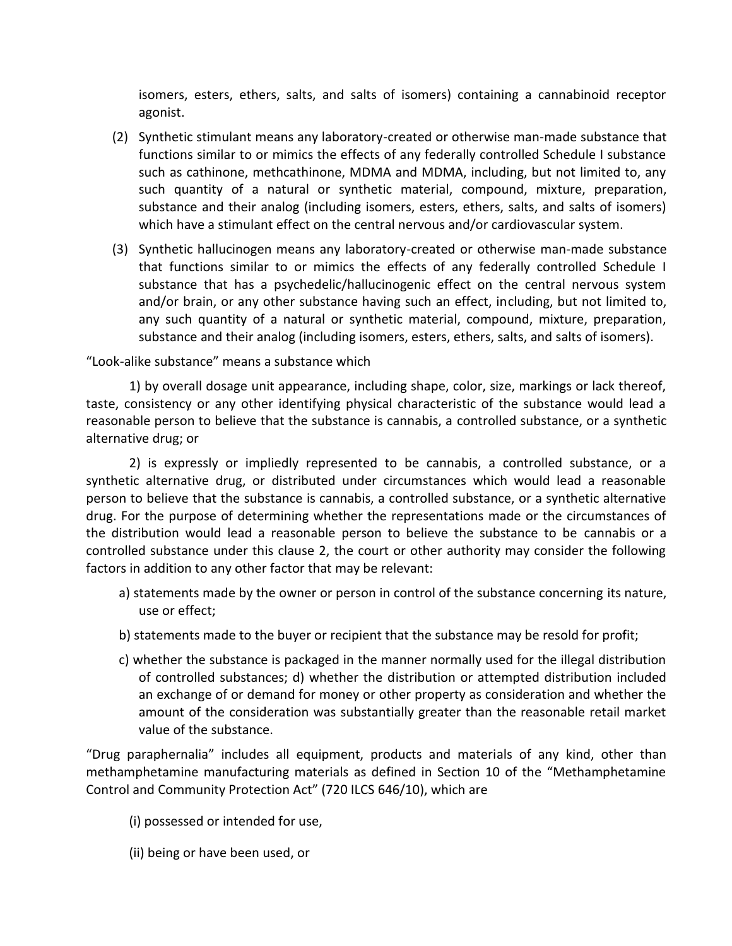isomers, esters, ethers, salts, and salts of isomers) containing a cannabinoid receptor agonist.

- (2) Synthetic stimulant means any laboratory-created or otherwise man-made substance that functions similar to or mimics the effects of any federally controlled Schedule I substance such as cathinone, methcathinone, MDMA and MDMA, including, but not limited to, any such quantity of a natural or synthetic material, compound, mixture, preparation, substance and their analog (including isomers, esters, ethers, salts, and salts of isomers) which have a stimulant effect on the central nervous and/or cardiovascular system.
- (3) Synthetic hallucinogen means any laboratory-created or otherwise man-made substance that functions similar to or mimics the effects of any federally controlled Schedule I substance that has a psychedelic/hallucinogenic effect on the central nervous system and/or brain, or any other substance having such an effect, including, but not limited to, any such quantity of a natural or synthetic material, compound, mixture, preparation, substance and their analog (including isomers, esters, ethers, salts, and salts of isomers).

"Look-alike substance" means a substance which

1) by overall dosage unit appearance, including shape, color, size, markings or lack thereof, taste, consistency or any other identifying physical characteristic of the substance would lead a reasonable person to believe that the substance is cannabis, a controlled substance, or a synthetic alternative drug; or

2) is expressly or impliedly represented to be cannabis, a controlled substance, or a synthetic alternative drug, or distributed under circumstances which would lead a reasonable person to believe that the substance is cannabis, a controlled substance, or a synthetic alternative drug. For the purpose of determining whether the representations made or the circumstances of the distribution would lead a reasonable person to believe the substance to be cannabis or a controlled substance under this clause 2, the court or other authority may consider the following factors in addition to any other factor that may be relevant:

- a) statements made by the owner or person in control of the substance concerning its nature, use or effect;
- b) statements made to the buyer or recipient that the substance may be resold for profit;
- c) whether the substance is packaged in the manner normally used for the illegal distribution of controlled substances; d) whether the distribution or attempted distribution included an exchange of or demand for money or other property as consideration and whether the amount of the consideration was substantially greater than the reasonable retail market value of the substance.

"Drug paraphernalia" includes all equipment, products and materials of any kind, other than methamphetamine manufacturing materials as defined in Section 10 of the "Methamphetamine Control and Community Protection Act" (720 ILCS 646/10), which are

- (i) possessed or intended for use,
- (ii) being or have been used, or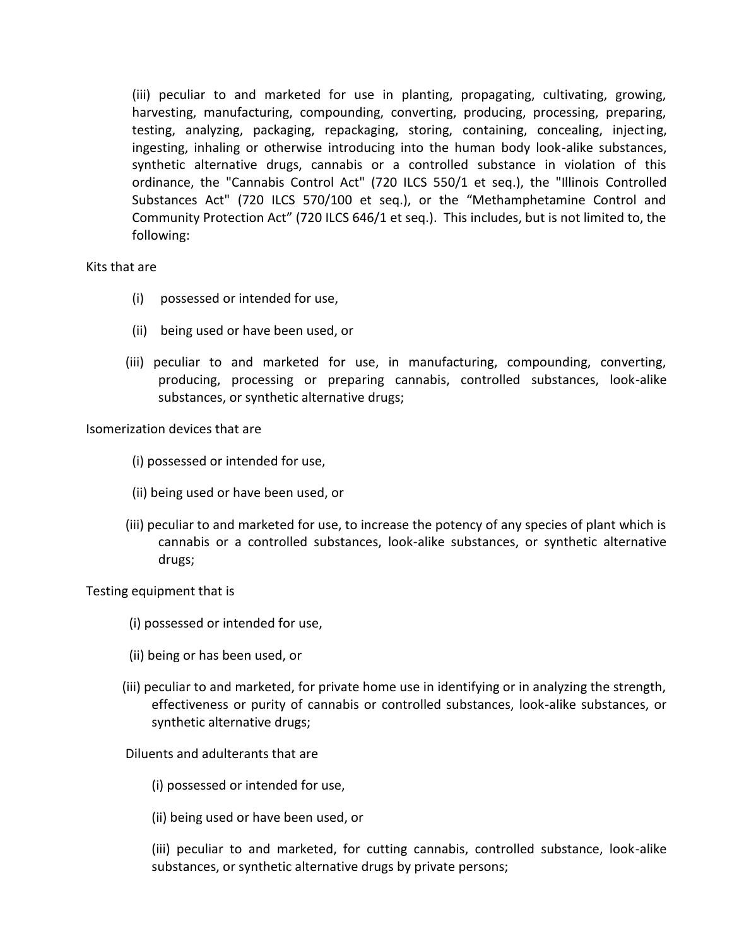(iii) peculiar to and marketed for use in planting, propagating, cultivating, growing, harvesting, manufacturing, compounding, converting, producing, processing, preparing, testing, analyzing, packaging, repackaging, storing, containing, concealing, injecting, ingesting, inhaling or otherwise introducing into the human body look-alike substances, synthetic alternative drugs, cannabis or a controlled substance in violation of this ordinance, the "Cannabis Control Act" (720 ILCS 550/1 et seq.), the "Illinois Controlled Substances Act" (720 ILCS 570/100 et seq.), or the "Methamphetamine Control and Community Protection Act" (720 ILCS 646/1 et seq.). This includes, but is not limited to, the following:

Kits that are

- (i) possessed or intended for use,
- (ii) being used or have been used, or
- (iii) peculiar to and marketed for use, in manufacturing, compounding, converting, producing, processing or preparing cannabis, controlled substances, look-alike substances, or synthetic alternative drugs;

Isomerization devices that are

- (i) possessed or intended for use,
- (ii) being used or have been used, or
- (iii) peculiar to and marketed for use, to increase the potency of any species of plant which is cannabis or a controlled substances, look-alike substances, or synthetic alternative drugs;

Testing equipment that is

- (i) possessed or intended for use,
- (ii) being or has been used, or
- (iii) peculiar to and marketed, for private home use in identifying or in analyzing the strength, effectiveness or purity of cannabis or controlled substances, look-alike substances, or synthetic alternative drugs;

Diluents and adulterants that are

(i) possessed or intended for use,

(ii) being used or have been used, or

(iii) peculiar to and marketed, for cutting cannabis, controlled substance, look-alike substances, or synthetic alternative drugs by private persons;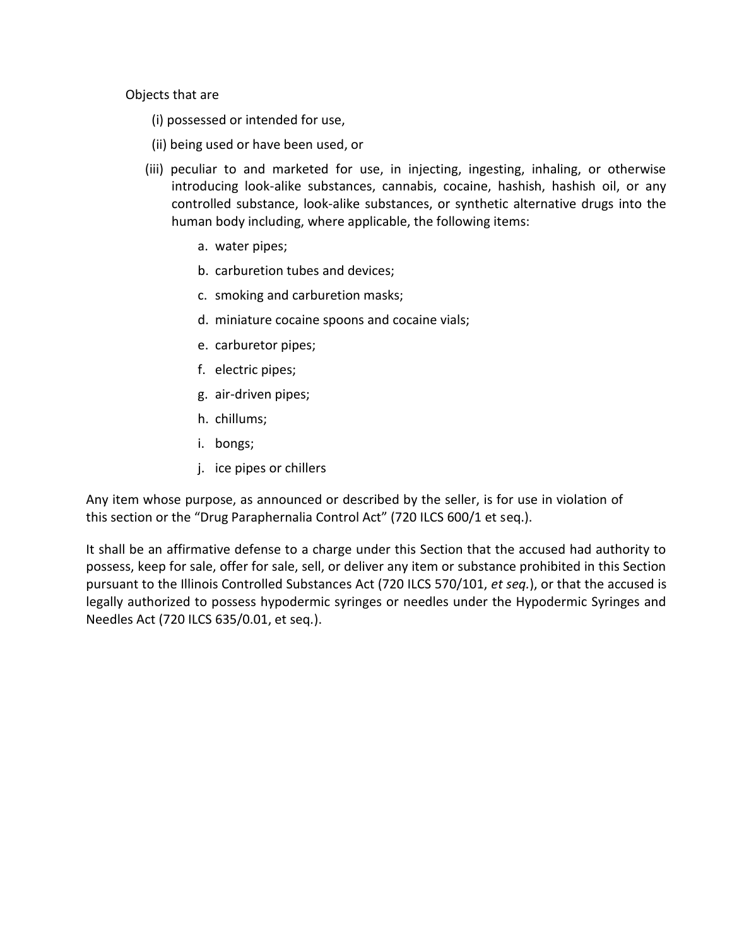Objects that are

- (i) possessed or intended for use,
- (ii) being used or have been used, or
- (iii) peculiar to and marketed for use, in injecting, ingesting, inhaling, or otherwise introducing look-alike substances, cannabis, cocaine, hashish, hashish oil, or any controlled substance, look-alike substances, or synthetic alternative drugs into the human body including, where applicable, the following items:
	- a. water pipes;
	- b. carburetion tubes and devices;
	- c. smoking and carburetion masks;
	- d. miniature cocaine spoons and cocaine vials;
	- e. carburetor pipes;
	- f. electric pipes;
	- g. air-driven pipes;
	- h. chillums;
	- i. bongs;
	- j. ice pipes or chillers

Any item whose purpose, as announced or described by the seller, is for use in violation of this section or the "Drug Paraphernalia Control Act" (720 ILCS 600/1 et seq.).

It shall be an affirmative defense to a charge under this Section that the accused had authority to possess, keep for sale, offer for sale, sell, or deliver any item or substance prohibited in this Section pursuant to the Illinois Controlled Substances Act (720 ILCS 570/101, *et seq.*), or that the accused is legally authorized to possess hypodermic syringes or needles under the Hypodermic Syringes and Needles Act (720 ILCS 635/0.01, et seq*.*).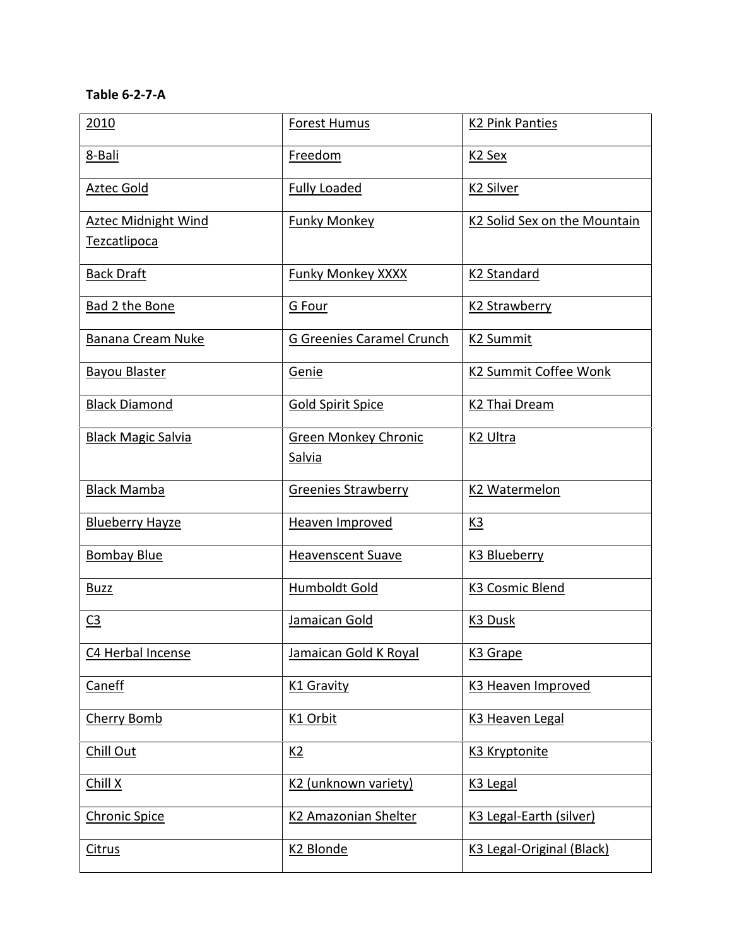# **Table 6-2-7-A**

| 2010                                | <b>Forest Humus</b>                   | <b>K2 Pink Panties</b>       |
|-------------------------------------|---------------------------------------|------------------------------|
| 8-Bali                              | Freedom                               | K <sub>2</sub> Sex           |
| Aztec Gold                          | <b>Fully Loaded</b>                   | <b>K2 Silver</b>             |
| Aztec Midnight Wind<br>Tezcatlipoca | <b>Funky Monkey</b>                   | K2 Solid Sex on the Mountain |
| <b>Back Draft</b>                   | <b>Funky Monkey XXXX</b>              | K2 Standard                  |
| Bad 2 the Bone                      | G Four                                | K2 Strawberry                |
| <b>Banana Cream Nuke</b>            | <b>G Greenies Caramel Crunch</b>      | <b>K2 Summit</b>             |
| <b>Bayou Blaster</b>                | Genie                                 | K2 Summit Coffee Wonk        |
| <b>Black Diamond</b>                | <b>Gold Spirit Spice</b>              | K <sub>2</sub> Thai Dream    |
| <b>Black Magic Salvia</b>           | <b>Green Monkey Chronic</b><br>Salvia | K <sub>2</sub> Ultra         |
| <b>Black Mamba</b>                  | <b>Greenies Strawberry</b>            | K2 Watermelon                |
| <b>Blueberry Hayze</b>              | <b>Heaven Improved</b>                | <u>K3</u>                    |
| <b>Bombay Blue</b>                  | <b>Heavenscent Suave</b>              | K3 Blueberry                 |
| <b>Buzz</b>                         | Humboldt Gold                         | K3 Cosmic Blend              |
| C <sub>3</sub>                      | Jamaican Gold                         | K3 Dusk                      |
| C4 Herbal Incense                   | Jamaican Gold K Royal                 | K <sub>3</sub> Grape         |
| Caneff                              | <b>K1 Gravity</b>                     | K3 Heaven Improved           |
| Cherry Bomb                         | K1 Orbit                              | K3 Heaven Legal              |
| Chill Out                           | K2                                    | K3 Kryptonite                |
| Chill X                             | K2 (unknown variety)                  | K <sub>3</sub> Legal         |
| Chronic Spice                       | <b>K2 Amazonian Shelter</b>           | K3 Legal-Earth (silver)      |
| <b>Citrus</b>                       | K <sub>2</sub> Blonde                 | K3 Legal-Original (Black)    |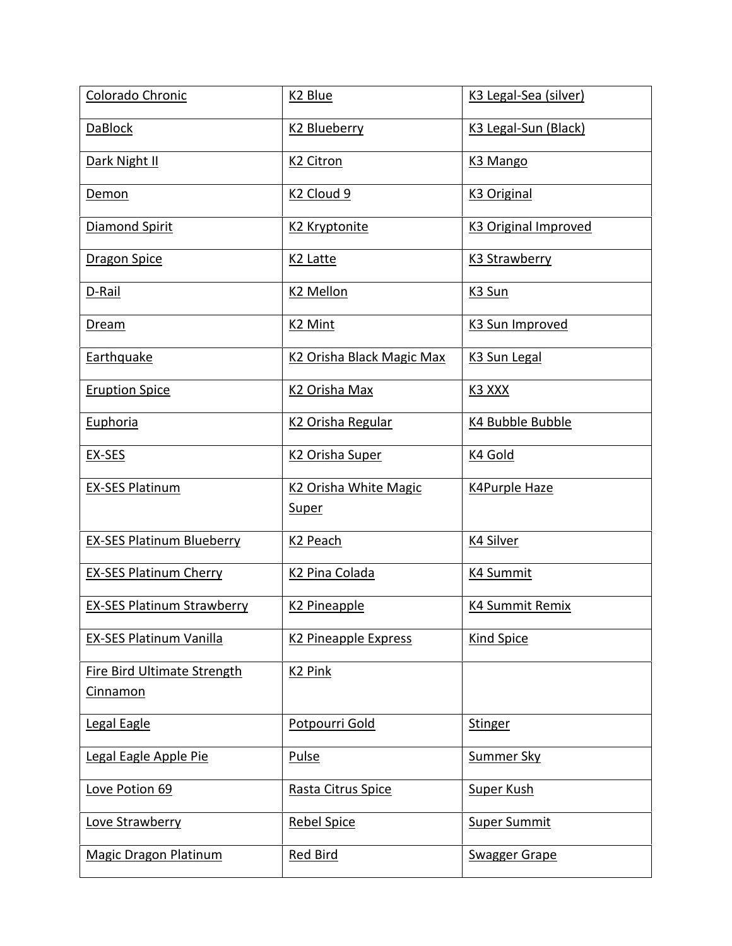| Colorado Chronic                   | K <sub>2</sub> Blue                               | K3 Legal-Sea (silver)            |
|------------------------------------|---------------------------------------------------|----------------------------------|
| <b>DaBlock</b>                     | K2 Blueberry                                      | K <sub>3</sub> Legal-Sun (Black) |
| Dark Night II                      | K <sub>2</sub> Citron                             | K <sub>3</sub> Mango             |
| Demon                              | K <sub>2</sub> Cloud 9                            | K <sub>3</sub> Original          |
| Diamond Spirit                     | K2 Kryptonite                                     | <b>K3 Original Improved</b>      |
| <b>Dragon Spice</b>                | K <sub>2</sub> Latte                              | <b>K3 Strawberry</b>             |
| D-Rail                             | K <sub>2</sub> Mellon                             | K3 Sun                           |
| Dream                              | K <sub>2</sub> Mint                               | K3 Sun Improved                  |
| Earthquake                         | K <sub>2</sub> Orisha Black Magic Max             | K <sub>3</sub> Sun Legal         |
| <b>Eruption Spice</b>              | K <sub>2</sub> Orisha Max                         | <u>K3 XXX</u>                    |
| Euphoria                           | K <sub>2</sub> Orisha Regular                     | K4 Bubble Bubble                 |
| EX-SES                             | K <sub>2</sub> Orisha Super                       | K4 Gold                          |
| <b>EX-SES Platinum</b>             | K <sub>2</sub> Orisha White Magic<br><b>Super</b> | <b>K4Purple Haze</b>             |
| <b>EX-SES Platinum Blueberry</b>   | K <sub>2</sub> Peach                              | <b>K4 Silver</b>                 |
| <b>EX-SES Platinum Cherry</b>      | K <sub>2</sub> Pina Colada                        | <b>K4 Summit</b>                 |
| <b>EX-SES Platinum Strawberry</b>  | K <sub>2</sub> Pineapple                          | <b>K4 Summit Remix</b>           |
| EX-SES Platinum Vanilla            | K2 Pineapple Express                              | <b>Kind Spice</b>                |
| <b>Fire Bird Ultimate Strength</b> | K <sub>2</sub> Pink                               |                                  |
| Cinnamon                           |                                                   |                                  |
| Legal Eagle                        | Potpourri Gold                                    | <b>Stinger</b>                   |
| Legal Eagle Apple Pie              | Pulse                                             | <b>Summer Sky</b>                |
| Love Potion 69                     | Rasta Citrus Spice                                | <b>Super Kush</b>                |
| Love Strawberry                    | <b>Rebel Spice</b>                                | <b>Super Summit</b>              |
| <b>Magic Dragon Platinum</b>       | <b>Red Bird</b>                                   | <b>Swagger Grape</b>             |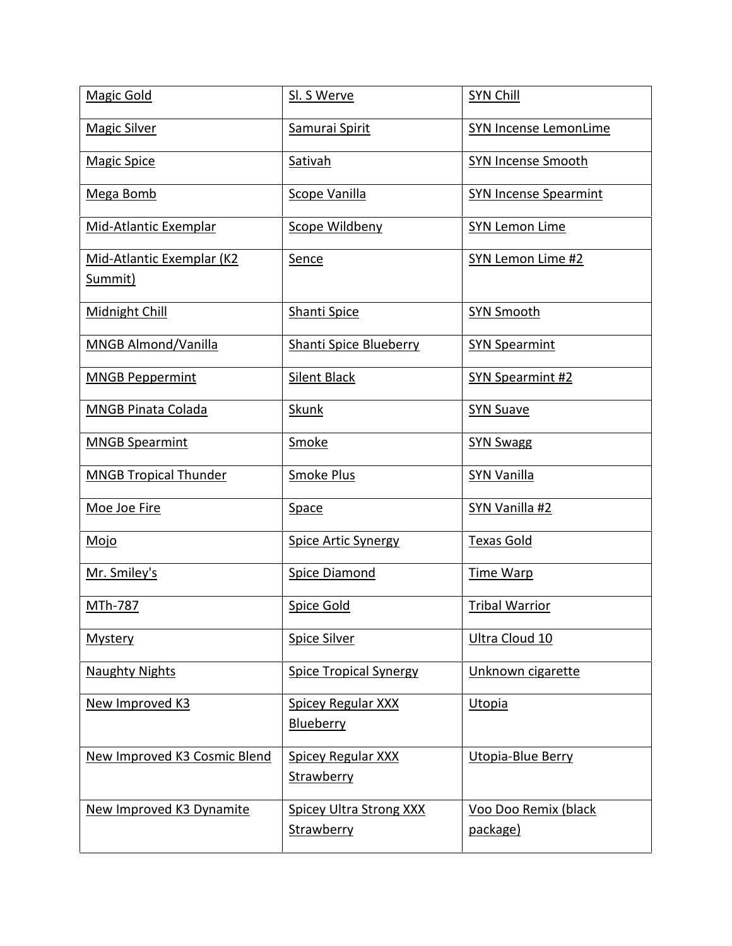| <b>Magic Gold</b>                    | Sl. S Werve                                    | <b>SYN Chill</b>                 |
|--------------------------------------|------------------------------------------------|----------------------------------|
| <b>Magic Silver</b>                  | Samurai Spirit                                 | SYN Incense LemonLime            |
| <b>Magic Spice</b>                   | Sativah                                        | <b>SYN Incense Smooth</b>        |
| Mega Bomb                            | Scope Vanilla                                  | <b>SYN Incense Spearmint</b>     |
| Mid-Atlantic Exemplar                | Scope Wildbeny                                 | <b>SYN Lemon Lime</b>            |
| Mid-Atlantic Exemplar (K2<br>Summit) | Sence                                          | SYN Lemon Lime #2                |
| Midnight Chill                       | Shanti Spice                                   | <b>SYN Smooth</b>                |
| <b>MNGB Almond/Vanilla</b>           | Shanti Spice Blueberry                         | <b>SYN Spearmint</b>             |
| <b>MNGB Peppermint</b>               | <b>Silent Black</b>                            | <b>SYN Spearmint #2</b>          |
| <b>MNGB Pinata Colada</b>            | <b>Skunk</b>                                   | <b>SYN Suave</b>                 |
| <b>MNGB Spearmint</b>                | Smoke                                          | <b>SYN Swagg</b>                 |
| <b>MNGB Tropical Thunder</b>         | <b>Smoke Plus</b>                              | <b>SYN Vanilla</b>               |
| Moe Joe Fire                         | Space                                          | <b>SYN Vanilla #2</b>            |
| Mojo                                 | <b>Spice Artic Synergy</b>                     | <b>Texas Gold</b>                |
| Mr. Smiley's                         | <b>Spice Diamond</b>                           | <b>Time Warp</b>                 |
| MTh-787                              | <b>Spice Gold</b>                              | <b>Tribal Warrior</b>            |
| <b>Mystery</b>                       | <b>Spice Silver</b>                            | Ultra Cloud 10                   |
| <b>Naughty Nights</b>                | <b>Spice Tropical Synergy</b>                  | Unknown cigarette                |
| New Improved K3                      | Spicey Regular XXX<br>Blueberry                | Utopia                           |
| New Improved K3 Cosmic Blend         | <b>Spicey Regular XXX</b><br><b>Strawberry</b> | Utopia-Blue Berry                |
| New Improved K3 Dynamite             | <b>Spicey Ultra Strong XXX</b><br>Strawberry   | Voo Doo Remix (black<br>package) |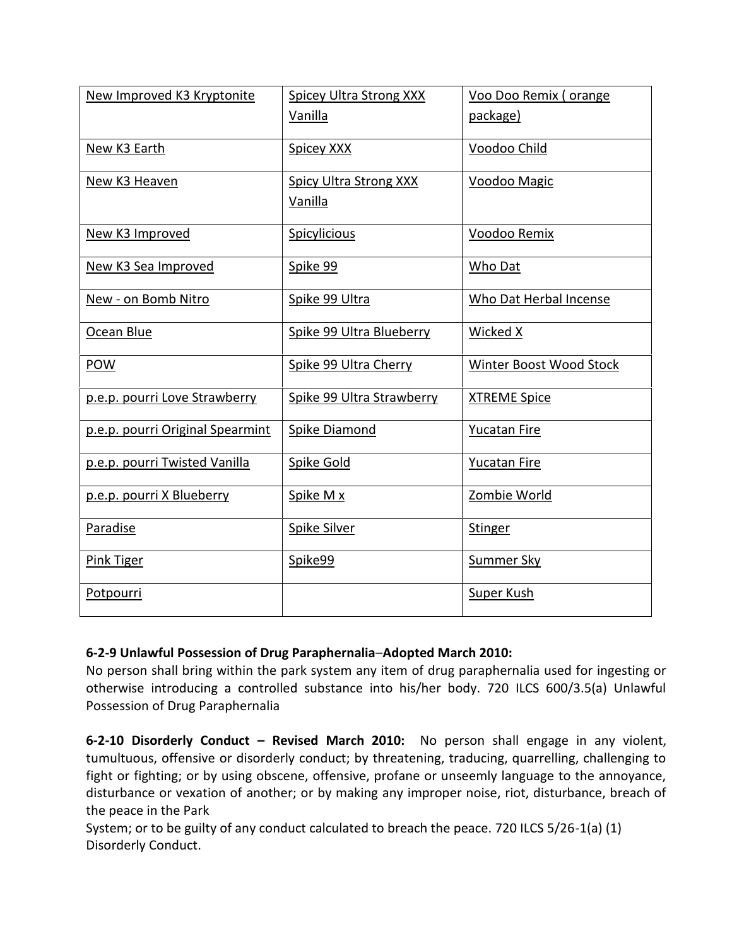| New Improved K3 Kryptonite       | <b>Spicey Ultra Strong XXX</b><br>Vanilla | Voo Doo Remix (orange<br>package) |
|----------------------------------|-------------------------------------------|-----------------------------------|
| New K3 Earth                     | Spicey XXX                                | Voodoo Child                      |
| New K3 Heaven                    | Spicy Ultra Strong XXX<br>Vanilla         | Voodoo Magic                      |
| New K3 Improved                  | Spicylicious                              | Voodoo Remix                      |
| New K3 Sea Improved              | Spike 99                                  | Who Dat                           |
| New - on Bomb Nitro              | Spike 99 Ultra                            | Who Dat Herbal Incense            |
| Ocean Blue                       | Spike 99 Ultra Blueberry                  | Wicked X                          |
| <b>POW</b>                       | Spike 99 Ultra Cherry                     | Winter Boost Wood Stock           |
| p.e.p. pourri Love Strawberry    | Spike 99 Ultra Strawberry                 | <b>XTREME Spice</b>               |
| p.e.p. pourri Original Spearmint | <b>Spike Diamond</b>                      | <b>Yucatan Fire</b>               |
| p.e.p. pourri Twisted Vanilla    | Spike Gold                                | <b>Yucatan Fire</b>               |
| p.e.p. pourri X Blueberry        | Spike M x                                 | Zombie World                      |
| Paradise                         | Spike Silver                              | Stinger                           |
| Pink Tiger                       | Spike99                                   | <b>Summer Sky</b>                 |
| Potpourri                        |                                           | Super Kush                        |

## **6-2-9 Unlawful Possession of Drug Paraphernalia**–**Adopted March 2010:**

No person shall bring within the park system any item of drug paraphernalia used for ingesting or otherwise introducing a controlled substance into his/her body. 720 ILCS 600/3.5(a) Unlawful Possession of Drug Paraphernalia

**6-2-10 Disorderly Conduct – Revised March 2010:** No person shall engage in any violent, tumultuous, offensive or disorderly conduct; by threatening, traducing, quarrelling, challenging to fight or fighting; or by using obscene, offensive, profane or unseemly language to the annoyance, disturbance or vexation of another; or by making any improper noise, riot, disturbance, breach of the peace in the Park

System; or to be guilty of any conduct calculated to breach the peace. 720 ILCS 5/26-1(a) (1) Disorderly Conduct.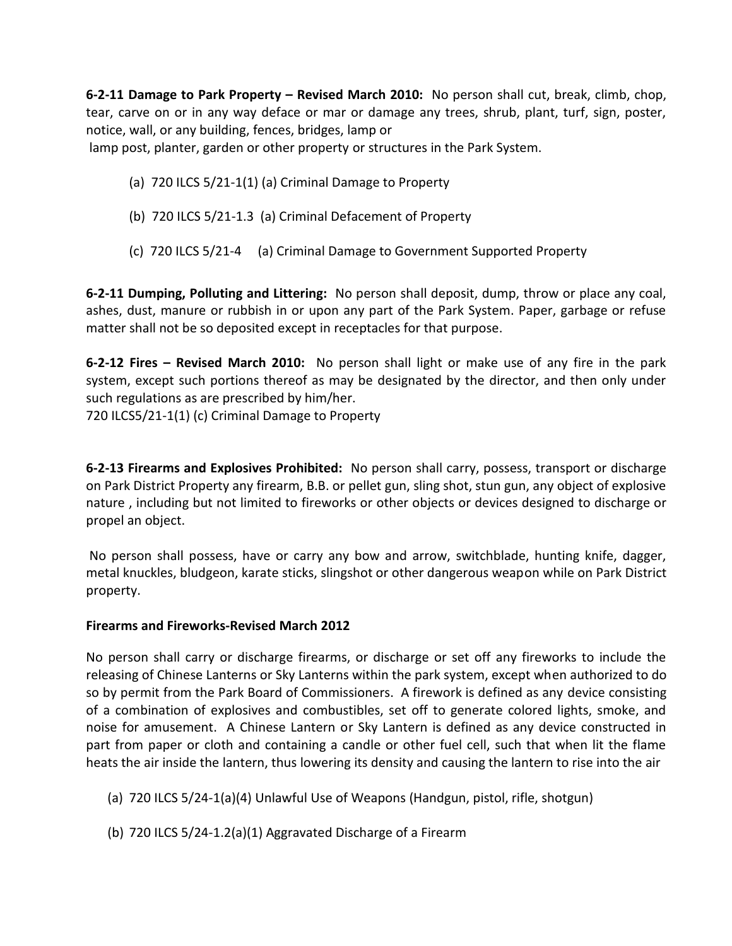**6-2-11 Damage to Park Property – Revised March 2010:** No person shall cut, break, climb, chop, tear, carve on or in any way deface or mar or damage any trees, shrub, plant, turf, sign, poster, notice, wall, or any building, fences, bridges, lamp or

lamp post, planter, garden or other property or structures in the Park System.

- (a) 720 ILCS 5/21-1(1) (a) Criminal Damage to Property
- (b) 720 ILCS 5/21-1.3 (a) Criminal Defacement of Property
- (c) 720 ILCS 5/21-4 (a) Criminal Damage to Government Supported Property

**6-2-11 Dumping, Polluting and Littering:** No person shall deposit, dump, throw or place any coal, ashes, dust, manure or rubbish in or upon any part of the Park System. Paper, garbage or refuse matter shall not be so deposited except in receptacles for that purpose.

**6-2-12 Fires – Revised March 2010:** No person shall light or make use of any fire in the park system, except such portions thereof as may be designated by the director, and then only under such regulations as are prescribed by him/her.

720 ILCS5/21-1(1) (c) Criminal Damage to Property

**6-2-13 Firearms and Explosives Prohibited:** No person shall carry, possess, transport or discharge on Park District Property any firearm, B.B. or pellet gun, sling shot, stun gun, any object of explosive nature , including but not limited to fireworks or other objects or devices designed to discharge or propel an object.

 No person shall possess, have or carry any bow and arrow, switchblade, hunting knife, dagger, metal knuckles, bludgeon, karate sticks, slingshot or other dangerous weapon while on Park District property.

## **Firearms and Fireworks-Revised March 2012**

No person shall carry or discharge firearms, or discharge or set off any fireworks to include the releasing of Chinese Lanterns or Sky Lanterns within the park system, except when authorized to do so by permit from the Park Board of Commissioners. A firework is defined as any device consisting of a combination of explosives and combustibles, set off to generate colored lights, smoke, and noise for amusement. A Chinese Lantern or Sky Lantern is defined as any device constructed in part from paper or cloth and containing a candle or other fuel cell, such that when lit the flame heats the air inside the lantern, thus lowering its density and causing the lantern to rise into the air

- (a) 720 ILCS 5/24-1(a)(4) Unlawful Use of Weapons (Handgun, pistol, rifle, shotgun)
- (b) 720 ILCS 5/24-1.2(a)(1) Aggravated Discharge of a Firearm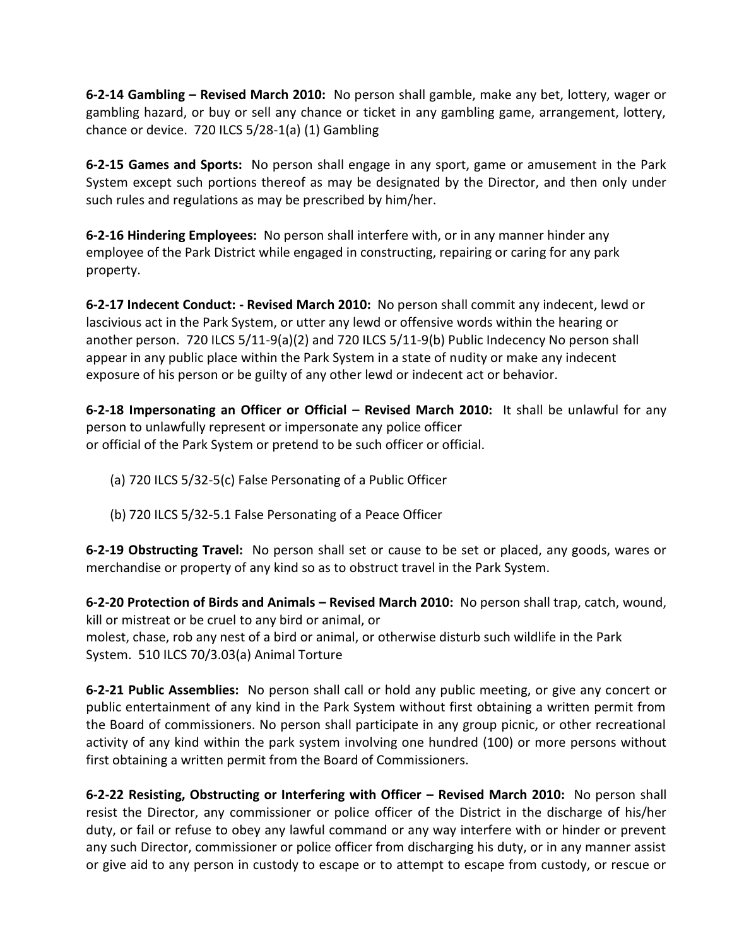**6-2-14 Gambling – Revised March 2010:** No person shall gamble, make any bet, lottery, wager or gambling hazard, or buy or sell any chance or ticket in any gambling game, arrangement, lottery, chance or device. 720 ILCS 5/28-1(a) (1) Gambling

**6-2-15 Games and Sports:** No person shall engage in any sport, game or amusement in the Park System except such portions thereof as may be designated by the Director, and then only under such rules and regulations as may be prescribed by him/her.

**6-2-16 Hindering Employees:** No person shall interfere with, or in any manner hinder any employee of the Park District while engaged in constructing, repairing or caring for any park property.

**6-2-17 Indecent Conduct: - Revised March 2010:** No person shall commit any indecent, lewd or lascivious act in the Park System, or utter any lewd or offensive words within the hearing or another person. 720 ILCS 5/11-9(a)(2) and 720 ILCS 5/11-9(b) Public Indecency No person shall appear in any public place within the Park System in a state of nudity or make any indecent exposure of his person or be guilty of any other lewd or indecent act or behavior.

**6-2-18 Impersonating an Officer or Official – Revised March 2010:** It shall be unlawful for any person to unlawfully represent or impersonate any police officer or official of the Park System or pretend to be such officer or official.

- (a) 720 ILCS 5/32-5(c) False Personating of a Public Officer
- (b) 720 ILCS 5/32-5.1 False Personating of a Peace Officer

**6-2-19 Obstructing Travel:** No person shall set or cause to be set or placed, any goods, wares or merchandise or property of any kind so as to obstruct travel in the Park System.

**6-2-20 Protection of Birds and Animals – Revised March 2010:** No person shall trap, catch, wound, kill or mistreat or be cruel to any bird or animal, or molest, chase, rob any nest of a bird or animal, or otherwise disturb such wildlife in the Park System. 510 ILCS 70/3.03(a) Animal Torture

**6-2-21 Public Assemblies:** No person shall call or hold any public meeting, or give any concert or public entertainment of any kind in the Park System without first obtaining a written permit from the Board of commissioners. No person shall participate in any group picnic, or other recreational activity of any kind within the park system involving one hundred (100) or more persons without first obtaining a written permit from the Board of Commissioners.

**6-2-22 Resisting, Obstructing or Interfering with Officer – Revised March 2010:** No person shall resist the Director, any commissioner or police officer of the District in the discharge of his/her duty, or fail or refuse to obey any lawful command or any way interfere with or hinder or prevent any such Director, commissioner or police officer from discharging his duty, or in any manner assist or give aid to any person in custody to escape or to attempt to escape from custody, or rescue or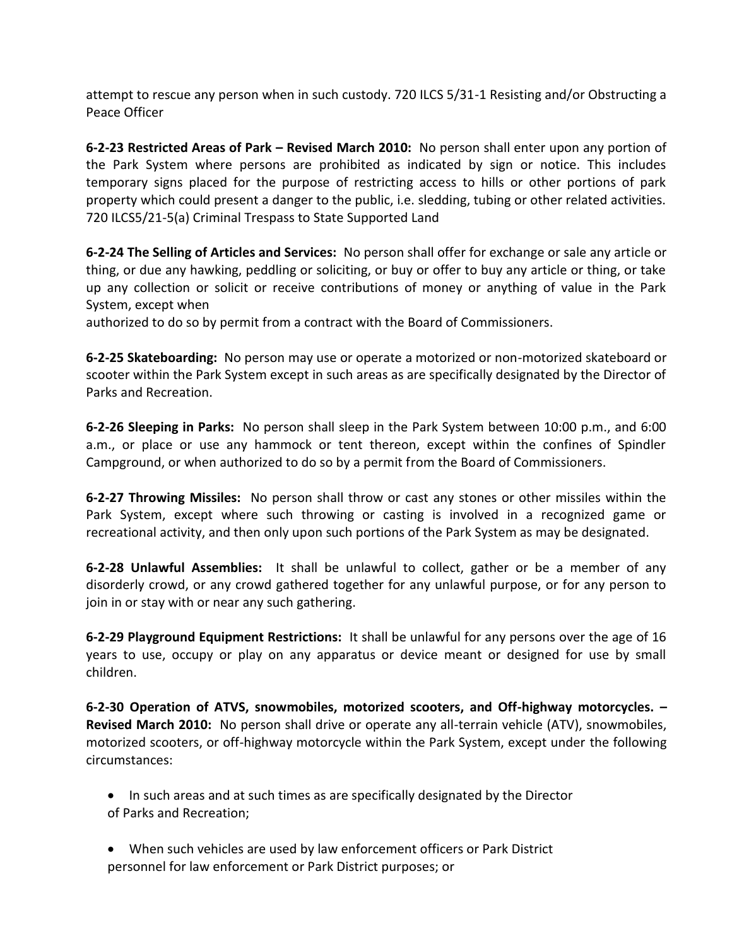attempt to rescue any person when in such custody. 720 ILCS 5/31-1 Resisting and/or Obstructing a Peace Officer

**6-2-23 Restricted Areas of Park – Revised March 2010:** No person shall enter upon any portion of the Park System where persons are prohibited as indicated by sign or notice. This includes temporary signs placed for the purpose of restricting access to hills or other portions of park property which could present a danger to the public, i.e. sledding, tubing or other related activities. 720 ILCS5/21-5(a) Criminal Trespass to State Supported Land

**6-2-24 The Selling of Articles and Services:** No person shall offer for exchange or sale any article or thing, or due any hawking, peddling or soliciting, or buy or offer to buy any article or thing, or take up any collection or solicit or receive contributions of money or anything of value in the Park System, except when

authorized to do so by permit from a contract with the Board of Commissioners.

**6-2-25 Skateboarding:** No person may use or operate a motorized or non-motorized skateboard or scooter within the Park System except in such areas as are specifically designated by the Director of Parks and Recreation.

**6-2-26 Sleeping in Parks:** No person shall sleep in the Park System between 10:00 p.m., and 6:00 a.m., or place or use any hammock or tent thereon, except within the confines of Spindler Campground, or when authorized to do so by a permit from the Board of Commissioners.

**6-2-27 Throwing Missiles:** No person shall throw or cast any stones or other missiles within the Park System, except where such throwing or casting is involved in a recognized game or recreational activity, and then only upon such portions of the Park System as may be designated.

**6-2-28 Unlawful Assemblies:** It shall be unlawful to collect, gather or be a member of any disorderly crowd, or any crowd gathered together for any unlawful purpose, or for any person to join in or stay with or near any such gathering.

**6-2-29 Playground Equipment Restrictions:** It shall be unlawful for any persons over the age of 16 years to use, occupy or play on any apparatus or device meant or designed for use by small children.

**6-2-30 Operation of ATVS, snowmobiles, motorized scooters, and Off-highway motorcycles. – Revised March 2010:** No person shall drive or operate any all-terrain vehicle (ATV), snowmobiles, motorized scooters, or off-highway motorcycle within the Park System, except under the following circumstances:

- In such areas and at such times as are specifically designated by the Director of Parks and Recreation;
- When such vehicles are used by law enforcement officers or Park District personnel for law enforcement or Park District purposes; or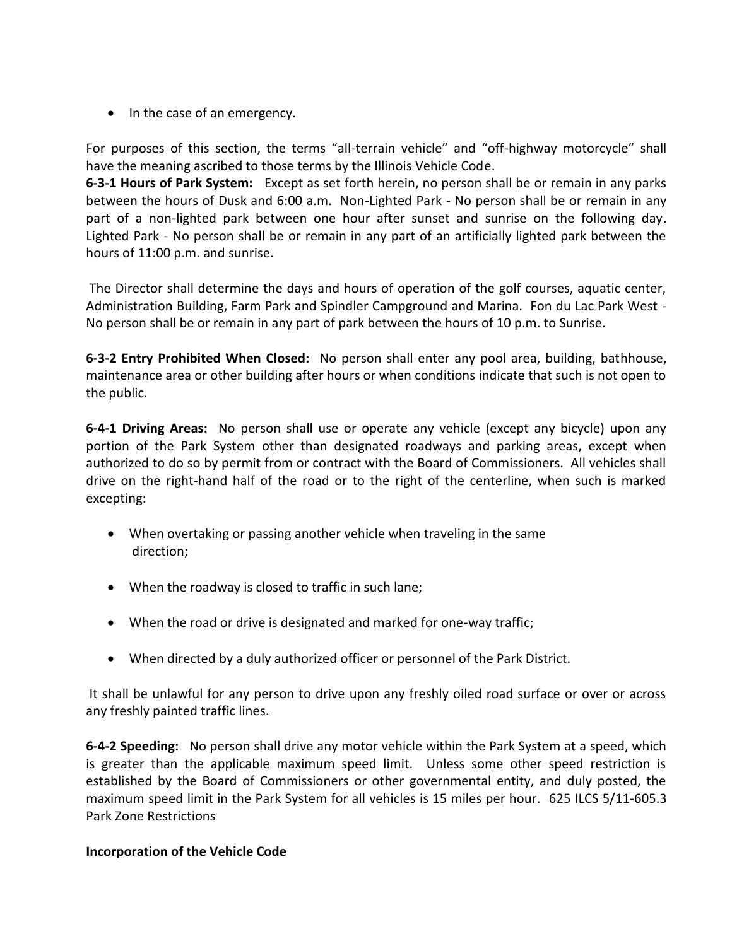• In the case of an emergency.

For purposes of this section, the terms "all-terrain vehicle" and "off-highway motorcycle" shall have the meaning ascribed to those terms by the Illinois Vehicle Code.

**6-3-1 Hours of Park System:** Except as set forth herein, no person shall be or remain in any parks between the hours of Dusk and 6:00 a.m. Non-Lighted Park - No person shall be or remain in any part of a non-lighted park between one hour after sunset and sunrise on the following day. Lighted Park - No person shall be or remain in any part of an artificially lighted park between the hours of 11:00 p.m. and sunrise.

 The Director shall determine the days and hours of operation of the golf courses, aquatic center, Administration Building, Farm Park and Spindler Campground and Marina. Fon du Lac Park West - No person shall be or remain in any part of park between the hours of 10 p.m. to Sunrise.

**6-3-2 Entry Prohibited When Closed:** No person shall enter any pool area, building, bathhouse, maintenance area or other building after hours or when conditions indicate that such is not open to the public.

**6-4-1 Driving Areas:** No person shall use or operate any vehicle (except any bicycle) upon any portion of the Park System other than designated roadways and parking areas, except when authorized to do so by permit from or contract with the Board of Commissioners. All vehicles shall drive on the right-hand half of the road or to the right of the centerline, when such is marked excepting:

- When overtaking or passing another vehicle when traveling in the same direction;
- When the roadway is closed to traffic in such lane;
- When the road or drive is designated and marked for one-way traffic;
- When directed by a duly authorized officer or personnel of the Park District.

 It shall be unlawful for any person to drive upon any freshly oiled road surface or over or across any freshly painted traffic lines.

**6-4-2 Speeding:** No person shall drive any motor vehicle within the Park System at a speed, which is greater than the applicable maximum speed limit. Unless some other speed restriction is established by the Board of Commissioners or other governmental entity, and duly posted, the maximum speed limit in the Park System for all vehicles is 15 miles per hour. 625 ILCS 5/11-605.3 Park Zone Restrictions

## **Incorporation of the Vehicle Code**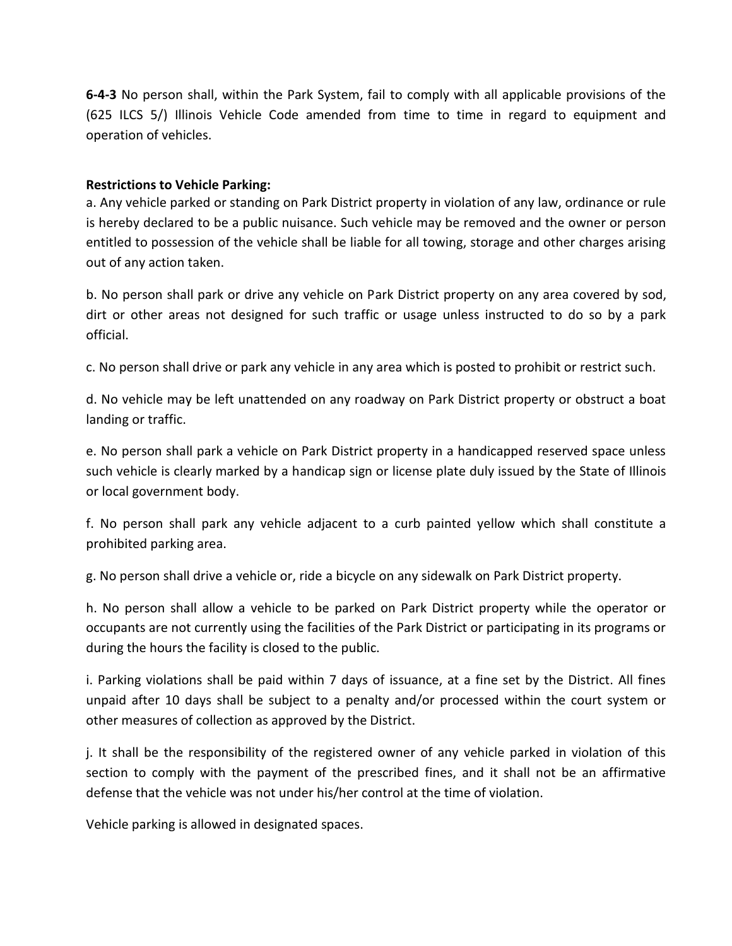**6-4-3** No person shall, within the Park System, fail to comply with all applicable provisions of the (625 ILCS 5/) Illinois Vehicle Code amended from time to time in regard to equipment and operation of vehicles.

#### **Restrictions to Vehicle Parking:**

a. Any vehicle parked or standing on Park District property in violation of any law, ordinance or rule is hereby declared to be a public nuisance. Such vehicle may be removed and the owner or person entitled to possession of the vehicle shall be liable for all towing, storage and other charges arising out of any action taken.

b. No person shall park or drive any vehicle on Park District property on any area covered by sod, dirt or other areas not designed for such traffic or usage unless instructed to do so by a park official.

c. No person shall drive or park any vehicle in any area which is posted to prohibit or restrict such.

d. No vehicle may be left unattended on any roadway on Park District property or obstruct a boat landing or traffic.

e. No person shall park a vehicle on Park District property in a handicapped reserved space unless such vehicle is clearly marked by a handicap sign or license plate duly issued by the State of Illinois or local government body.

f. No person shall park any vehicle adjacent to a curb painted yellow which shall constitute a prohibited parking area.

g. No person shall drive a vehicle or, ride a bicycle on any sidewalk on Park District property.

h. No person shall allow a vehicle to be parked on Park District property while the operator or occupants are not currently using the facilities of the Park District or participating in its programs or during the hours the facility is closed to the public.

i. Parking violations shall be paid within 7 days of issuance, at a fine set by the District. All fines unpaid after 10 days shall be subject to a penalty and/or processed within the court system or other measures of collection as approved by the District.

j. It shall be the responsibility of the registered owner of any vehicle parked in violation of this section to comply with the payment of the prescribed fines, and it shall not be an affirmative defense that the vehicle was not under his/her control at the time of violation.

Vehicle parking is allowed in designated spaces.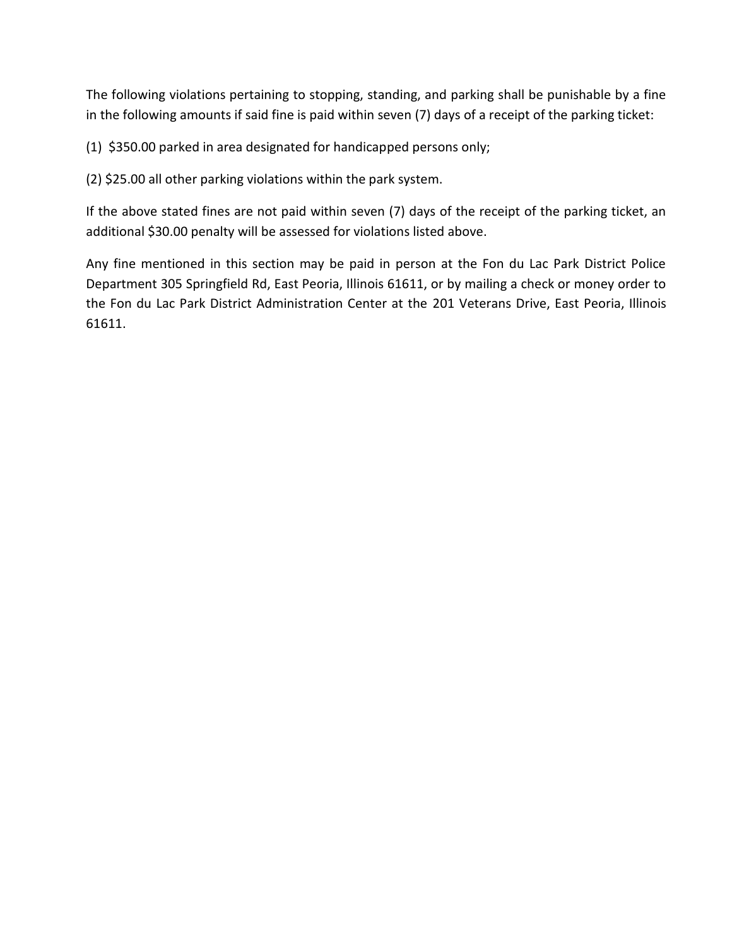The following violations pertaining to stopping, standing, and parking shall be punishable by a fine in the following amounts if said fine is paid within seven (7) days of a receipt of the parking ticket:

(1) \$350.00 parked in area designated for handicapped persons only;

(2) \$25.00 all other parking violations within the park system.

If the above stated fines are not paid within seven (7) days of the receipt of the parking ticket, an additional \$30.00 penalty will be assessed for violations listed above.

Any fine mentioned in this section may be paid in person at the Fon du Lac Park District Police Department 305 Springfield Rd, East Peoria, Illinois 61611, or by mailing a check or money order to the Fon du Lac Park District Administration Center at the 201 Veterans Drive, East Peoria, Illinois 61611.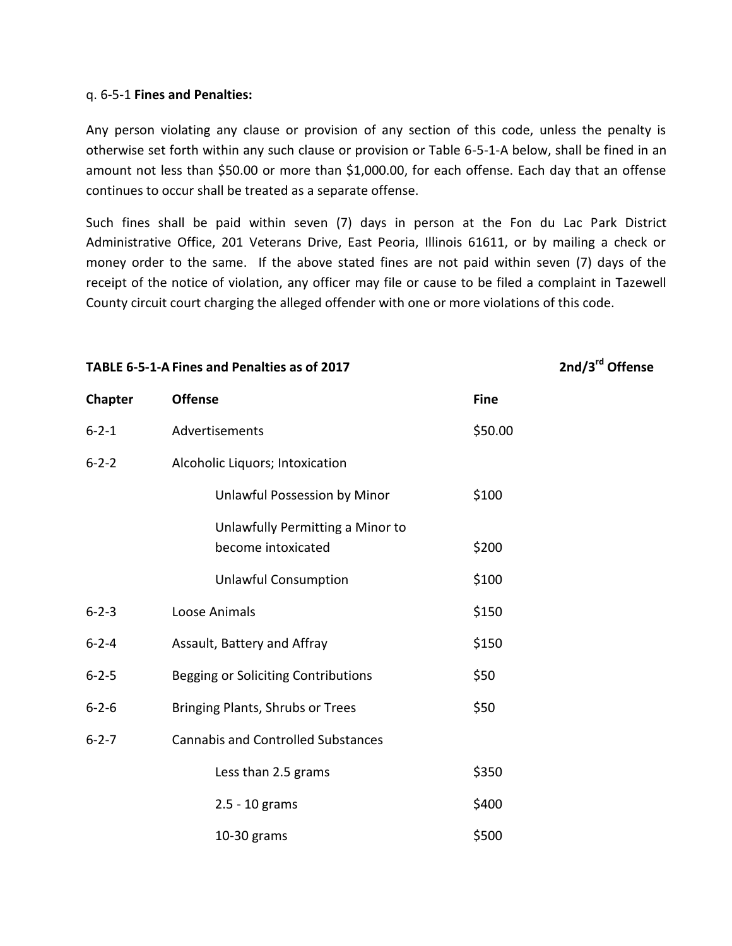#### q. 6-5-1 **Fines and Penalties:**

Any person violating any clause or provision of any section of this code, unless the penalty is otherwise set forth within any such clause or provision or Table 6-5-1-A below, shall be fined in an amount not less than \$50.00 or more than \$1,000.00, for each offense. Each day that an offense continues to occur shall be treated as a separate offense.

Such fines shall be paid within seven (7) days in person at the Fon du Lac Park District Administrative Office, 201 Veterans Drive, East Peoria, Illinois 61611, or by mailing a check or money order to the same. If the above stated fines are not paid within seven (7) days of the receipt of the notice of violation, any officer may file or cause to be filed a complaint in Tazewell County circuit court charging the alleged offender with one or more violations of this code.

**TABLE 6-5-1-A Fines and Penalties as of 2017 2nd/3rd Offense**

| Chapter     | <b>Offense</b>                                         | <b>Fine</b> |
|-------------|--------------------------------------------------------|-------------|
| $6 - 2 - 1$ | Advertisements                                         | \$50.00     |
| $6 - 2 - 2$ | Alcoholic Liquors; Intoxication                        |             |
|             | Unlawful Possession by Minor                           | \$100       |
|             | Unlawfully Permitting a Minor to<br>become intoxicated | \$200       |
|             | <b>Unlawful Consumption</b>                            | \$100       |
| $6 - 2 - 3$ | Loose Animals                                          | \$150       |
| $6 - 2 - 4$ | Assault, Battery and Affray                            | \$150       |
| $6 - 2 - 5$ | Begging or Soliciting Contributions                    | \$50        |
| $6 - 2 - 6$ | Bringing Plants, Shrubs or Trees                       | \$50        |
| $6 - 2 - 7$ | <b>Cannabis and Controlled Substances</b>              |             |
|             | Less than 2.5 grams                                    | \$350       |
|             | 2.5 - 10 grams                                         | \$400       |
|             | $10-30$ grams                                          | \$500       |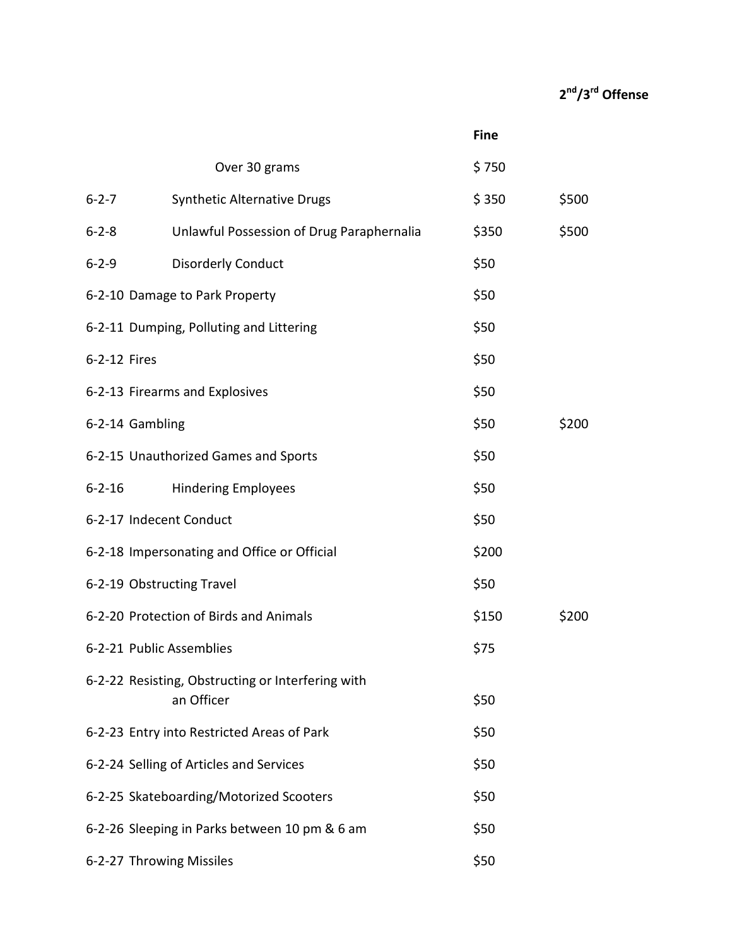## **2 nd/3rd Offense**

|                           |                                                   | <b>Fine</b> |       |
|---------------------------|---------------------------------------------------|-------------|-------|
|                           | Over 30 grams                                     | \$750       |       |
| $6 - 2 - 7$               | <b>Synthetic Alternative Drugs</b>                | \$350       | \$500 |
| $6 - 2 - 8$               | Unlawful Possession of Drug Paraphernalia         | \$350       | \$500 |
| $6 - 2 - 9$               | <b>Disorderly Conduct</b>                         | \$50        |       |
|                           | 6-2-10 Damage to Park Property                    | \$50        |       |
|                           | 6-2-11 Dumping, Polluting and Littering           | \$50        |       |
| 6-2-12 Fires              |                                                   | \$50        |       |
|                           | 6-2-13 Firearms and Explosives                    | \$50        |       |
| 6-2-14 Gambling           |                                                   | \$50        | \$200 |
|                           | 6-2-15 Unauthorized Games and Sports              | \$50        |       |
| $6 - 2 - 16$              | <b>Hindering Employees</b>                        | \$50        |       |
| 6-2-17 Indecent Conduct   |                                                   | \$50        |       |
|                           | 6-2-18 Impersonating and Office or Official       | \$200       |       |
| 6-2-19 Obstructing Travel |                                                   | \$50        |       |
|                           | 6-2-20 Protection of Birds and Animals            | \$150       | \$200 |
| 6-2-21 Public Assemblies  |                                                   | \$75        |       |
|                           | 6-2-22 Resisting, Obstructing or Interfering with |             |       |
|                           | an Officer                                        | \$50        |       |
|                           | 6-2-23 Entry into Restricted Areas of Park        | \$50        |       |
|                           | 6-2-24 Selling of Articles and Services           | \$50        |       |
|                           | 6-2-25 Skateboarding/Motorized Scooters           | \$50        |       |
|                           | 6-2-26 Sleeping in Parks between 10 pm & 6 am     | \$50        |       |
| 6-2-27 Throwing Missiles  |                                                   | \$50        |       |